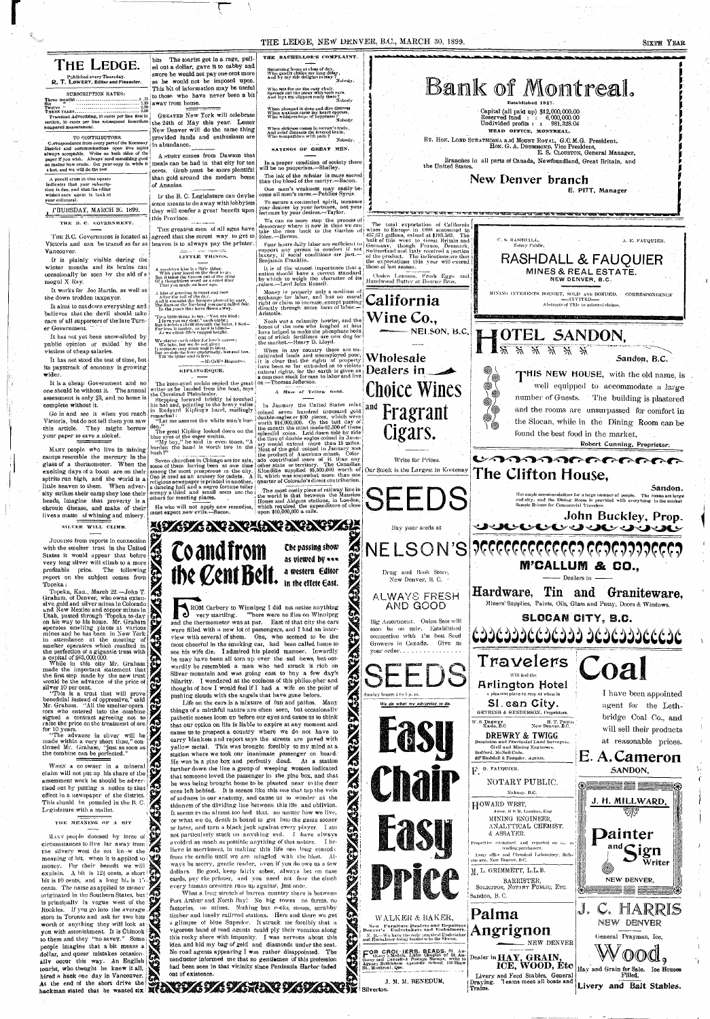## THE LEDGE, NEW DENVER, B.C., MARCH 30, 1899.

### **SIXTH YEAR**





JUDGING from reports in connection with the smelter trust in the United States it would appear that before very long silver will climb to a more  $\sum_{i=1}^{n}$ profitable price. The tollowing Topeka:

Graham, of Denver, who owns extensive gold and silver mines in Colorado and New Mexico and copper mines in on his way to his home. Mr. Graham mines and he has been in New York in attendance at the meeting of smelter operators which resulted in the perfection of a gigantic trust with a capital of \$65,000,000.

made the important statement that the first step made by the new trust would be the advance of the price of silver 10 per cent.

"This is a trust that will prove beneficial instead of oppressive," said Mr. Graham. "All the smelter opera $\log$ signed a contract agreeing not to raise the price on the treatment of ore for 10 years.

made within a very short time," continued Mr. Graham, "just as soon as the combine can be perfected."

claim will not put up his share of the assessment work he should be advertised out by putting a notice to that effect in a newspaper of the district. This should be pounded in the B.C. Legislature with a mallet.

THE MEANING OF A BIT

MANY people doomed by force of circumstances to live far away from the silvery west do not kn w the  $\overline{40}$ meaning of bit, when it is applied to  $\mathbb{Q}$ money. For their benefit we will explain. A bit is  $12\frac{1}{2}$  cents, a short  $\mathbb{Q}$ bit is 10 cents, and a long bi. is 15; cents. The name as applied to money originated in the Southern States, but ! is principally in vogue west of the: Rockies. If you go into the average store in Toronto and ask for two bits worth of anything they will look at: you with astonishment. It is Chinook to them and they "no savey." Some people imagine that a bit means a

factories, no mines. Nothing but rocks, stones, scrubby timber and lonely railroad stations. Here and there we get a glimpse of blue Superior. It struck me forcibly that a vigorous band of road agents could ply their vocation along this rocky shore with impunity. I was nervous about this idea and hid my bag of gold and diamonds under the seat. No road agents appearing  $I$  was rather disappointed. The



WALKER & BAKER,

New Furniture Dealers and Repairers<br>Denver's Undertakers and Embalmers.

N. B.-We have the only practical Undertaker<br>and Embalmer doing business in the Slocan.

 $\mathcal$ . NEW DENVER

Palma

Angrignon

NEW DENVER

General Drayman, Ice,